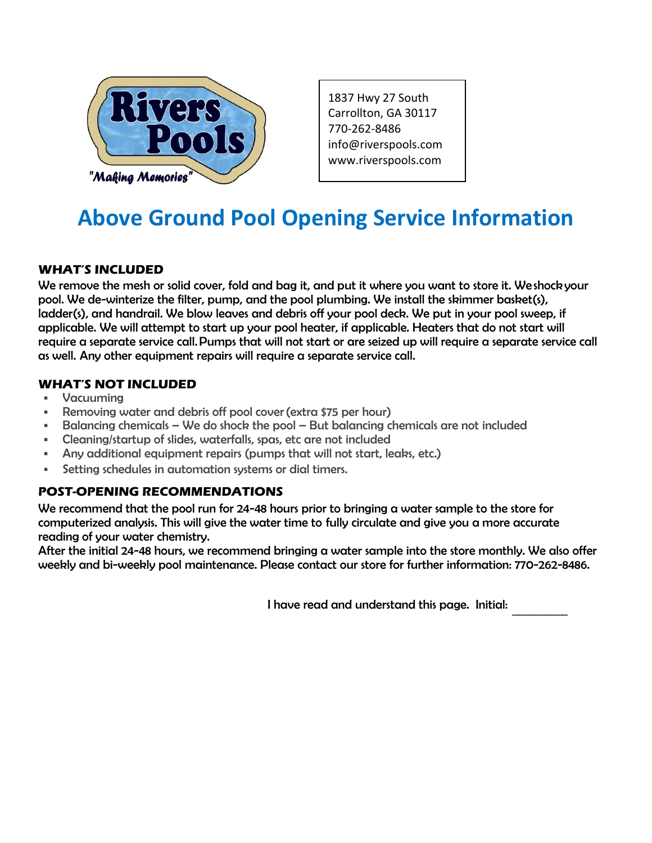

1837 Hwy 27 South Carrollton, GA 30117 770-262-8486 info@riverspools.com [www.riverspools.com](mailto:info@riverspools.com)

# **Above Ground Pool Opening Service Information**

### **WHAT'S INCLUDED**

We remove the mesh or solid cover, fold and bag it, and put it where you want to store it. We shock your pool. We de-winterize the filter, pump, and the pool plumbing. We install the skimmer basket(s), ladder(s), and handrail. We blow leaves and debris off your pool deck. We put in your pool sweep, if applicable. We will attempt to start up your pool heater, if applicable. Heaters that do not start will require a separate service call. Pumps that will not start or are seized up will require a separate service call as well. Any other equipment repairs will require a separate service call.

#### **WHAT'S NOT INCLUDED**

- Vacuuming
- Removing water and debris off pool cover (extra \$75 per hour)
- Balancing chemicals We do shock the pool But balancing chemicals are not included
- Cleaning/startup of slides, waterfalls, spas, etc are not included
- Any additional equipment repairs (pumps that will not start, leaks, etc.)
- Setting schedules in automation systems or dial timers.

## **POST-OPENING RECOMMENDATIONS**

We recommend that the pool run for 24-48 hours prior to bringing a water sample to the store for computerized analysis. This will give the water time to fully circulate and give you a more accurate reading of your water chemistry.

After the initial 24-48 hours, we recommend bringing a water sample into the store monthly. We also offer weekly and bi-weekly pool maintenance. Please contact our store for further information: 770-262-8486.

> I have read and understand this page. Initial:  $\overline{\phantom{a}}$